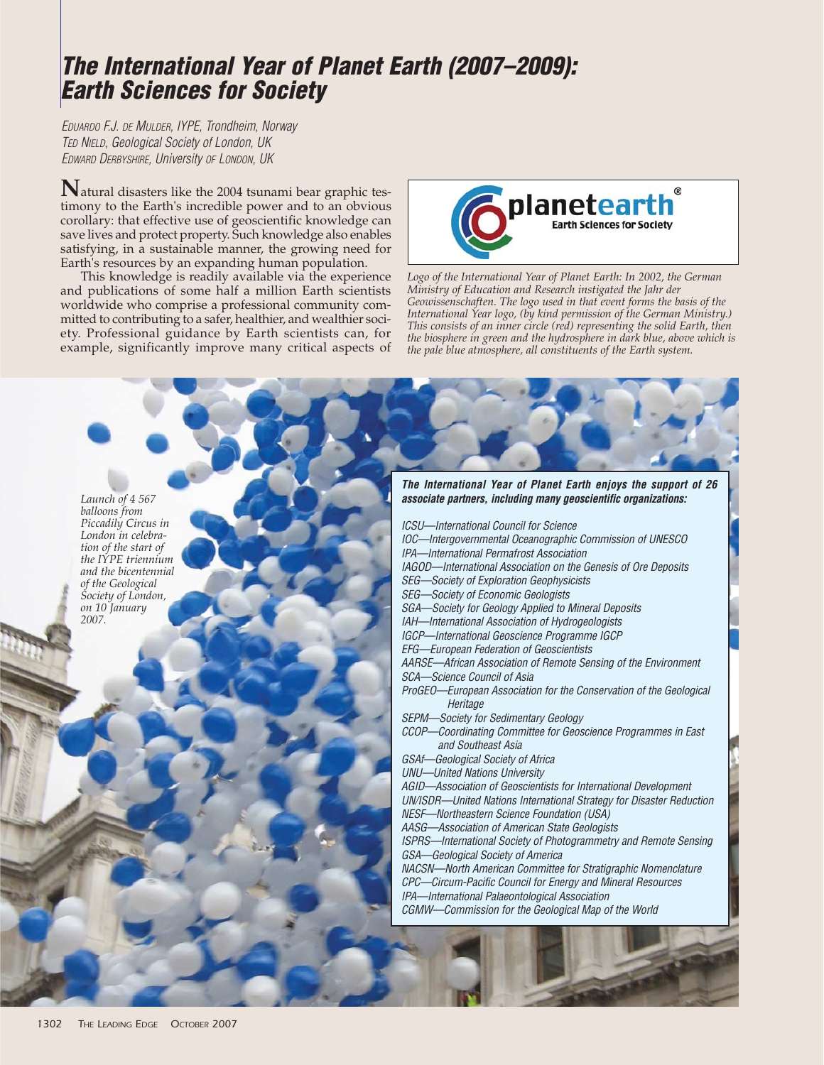## **The International Year of Planet Earth (2007–2009): Earth Sciences for Society**

EDUARDO F.J. DE MULDER, IYPE, Trondheim, Norway TED NIELD, Geological Society of London, UK EDWARD DERBYSHIRE, University OF LONDON, UK

**N**atural disasters like the 2004 tsunami bear graphic testimony to the Earth's incredible power and to an obvious corollary: that effective use of geoscientific knowledge can save lives and protect property. Such knowledge also enables satisfying, in a sustainable manner, the growing need for Earth's resources by an expanding human population.

This knowledge is readily available via the experience and publications of some half a million Earth scientists worldwide who comprise a professional community committed to contributing to a safer, healthier, and wealthier society. Professional guidance by Earth scientists can, for example, significantly improve many critical aspects of



*Logo of the International Year of Planet Earth: In 2002, the German Ministry of Education and Research instigated the Jahr der Geowissenschaften. The logo used in that event forms the basis of the International Year logo, (by kind permission of the German Ministry.) This consists of an inner circle (red) representing the solid Earth, then the biosphere in green and the hydrosphere in dark blue, above which is the pale blue atmosphere, all constituents of the Earth system.*

**The International Year of Planet Earth enjoys the support of 26 associate partners, including many geoscientific organizations:** 

*Launch of 4 567 balloons from Piccadily Circus in London in celebration of the start of the IYPE triennium and the bicentennial of the Geological Society of London, on 10 January 2007.*

ICSU—International Council for Science IOC—Intergovernmental Oceanographic Commission of UNESCO IPA—International Permafrost Association IAGOD—International Association on the Genesis of Ore Deposits SEG—Society of Exploration Geophysicists SEG—Society of Economic Geologists SGA—Society for Geology Applied to Mineral Deposits IAH—International Association of Hydrogeologists IGCP—International Geoscience Programme IGCP EFG—European Federation of Geoscientists AARSE—African Association of Remote Sensing of the Environment SCA—Science Council of Asia ProGEO—European Association for the Conservation of the Geological **Heritage** SEPM—Society for Sedimentary Geology CCOP—Coordinating Committee for Geoscience Programmes in East and Southeast Asia GSAf—Geological Society of Africa UNU—United Nations University AGID—Association of Geoscientists for International Development UN/ISDR—United Nations International Strategy for Disaster Reduction NESF—Northeastern Science Foundation (USA) AASG—Association of American State Geologists ISPRS—International Society of Photogrammetry and Remote Sensing

GSA—Geological Society of America NACSN—North American Committee for Stratigraphic Nomenclature

CPC—Circum-Pacific Council for Energy and Mineral Resources IPA—International Palaeontological Association CGMW—Commission for the Geological Map of the World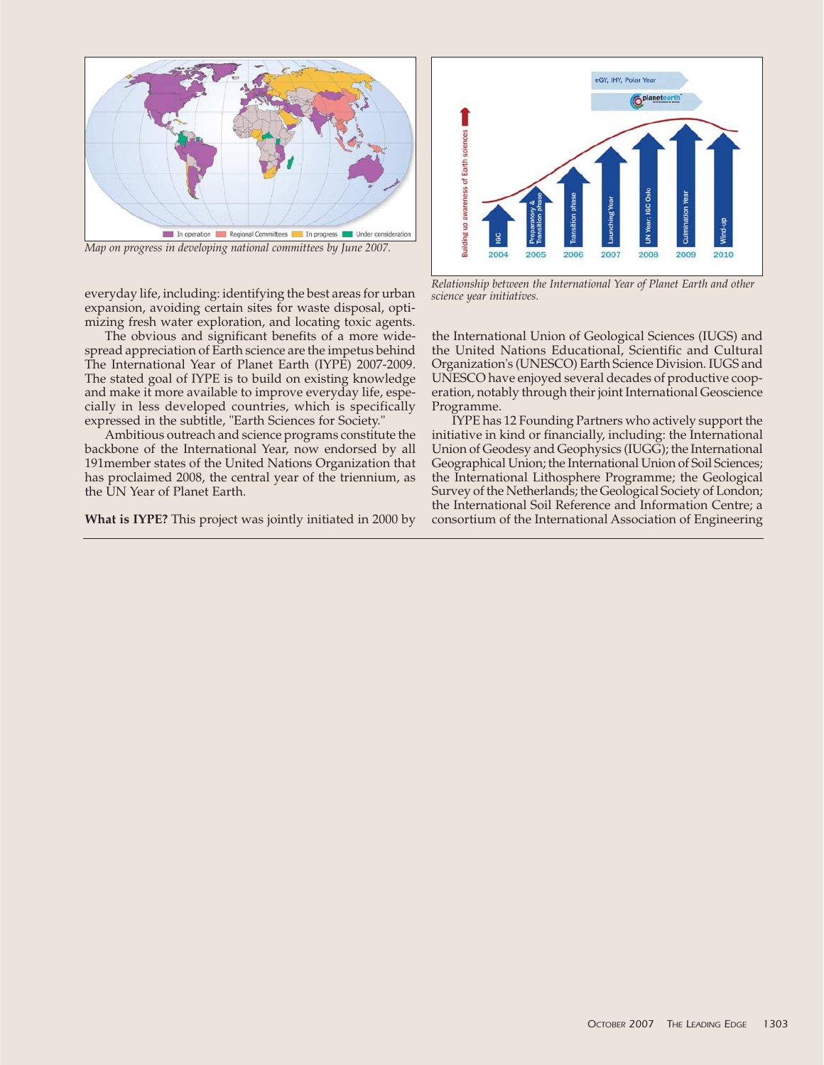

*Map on progress in developing national committees by June 2007.*

everyday life, including: identifying the best areas for urban expansion, avoiding certain sites for waste disposal, optimizing fresh water exploration, and locating toxic agents.

The obvious and significant benefits of a more widespread appreciation of Earth science are the impetus behind The International Year of Planet Earth (IYPE) 2007-2009. The stated goal of IYPE is to build on existing knowledge and make it more available to improve everyday life, especially in less developed countries, which is specifically expressed in the subtitle, "Earth Sciences for Society."

Ambitious outreach and science programs constitute the backbone of the International Year, now endorsed by all 191member states of the United Nations Organization that has proclaimed 2008, the central year of the triennium, as the UN Year of Planet Earth.

**What is IYPE?** This project was jointly initiated in 2000 by



*Relationship between the International Year of Planet Earth and other science year initiatives.*

the International Union of Geological Sciences (IUGS) and the United Nations Educational, Scientific and Cultural Organization's (UNESCO) Earth Science Division. IUGS and UNESCO have enjoyed several decades of productive cooperation, notably through their joint International Geoscience Programme.

IYPE has 12 Founding Partners who actively support the initiative in kind or financially, including: the International Union of Geodesy and Geophysics (IUGG); the International Geographical Union; the International Union of Soil Sciences; the International Lithosphere Programme; the Geological Survey of the Netherlands; the Geological Society of London; the International Soil Reference and Information Centre; a consortium of the International Association of Engineering